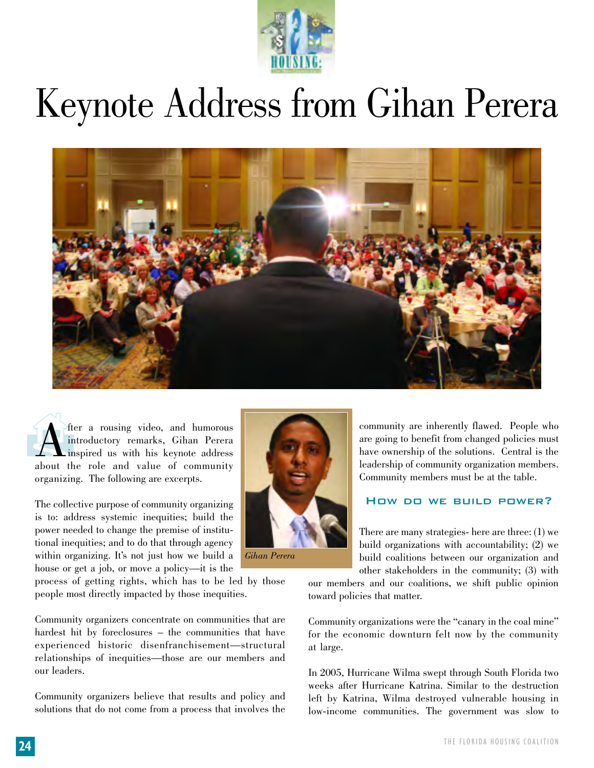

## Keynote Address from Gihan Perera



 $\widehat{\mathbf{A}}_{\text{\tiny in}}^{\text{\tiny ft}}$ The a rousing video, and humorous<br>introductory remarks, Gihan Perera<br>about the role and value of community introductory remarks, Gihan Perera inspired us with his keynote address about the role and value of community organizing. The following are excerpts.

The collective purpose of community organizing is to: address systemic inequities; build the power needed to change the premise of institutional inequities; and to do that through agency within organizing. It's not just how we build a house or get a job, or move a policy—it is the

process of getting rights, which has to be led by those people most directly impacted by those inequities.

Community organizers concentrate on communities that are hardest hit by foreclosures – the communities that have experienced historic disenfranchisement—structural relationships of inequities—those are our members and our leaders.

Community organizers believe that results and policy and solutions that do not come from a process that involves the



*Gihan Perera*

community are inherently flawed. People who are going to benefit from changed policies must have ownership of the solutions. Central is the leadership of community organization members. Community members must be at the table.

## How do we build power?

There are many strategies- here are three: (1) we build organizations with accountability; (2) we build coalitions between our organization and other stakeholders in the community; (3) with

our members and our coalitions, we shift public opinion toward policies that matter.

Community organizations were the "canary in the coal mine" for the economic downturn felt now by the community at large.

In 2005, Hurricane Wilma swept through South Florida two weeks after Hurricane Katrina. Similar to the destruction left by Katrina, Wilma destroyed vulnerable housing in low-income communities. The government was slow to